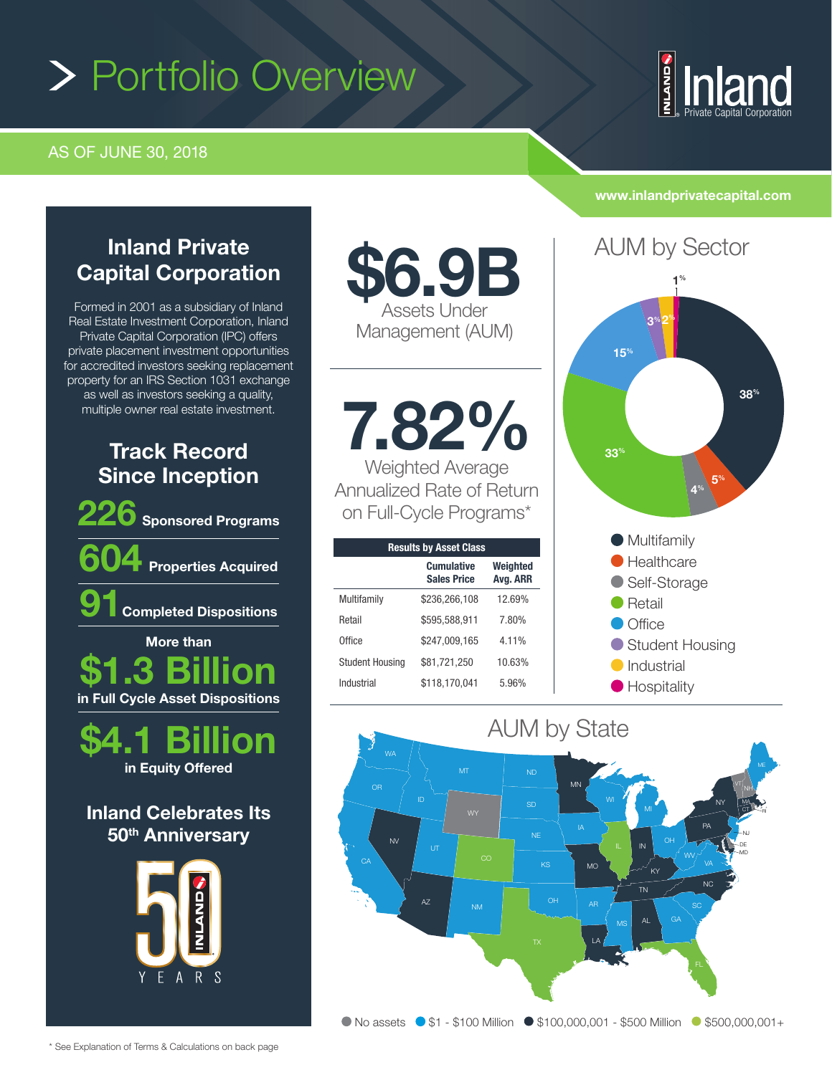# Portfolio Overview

### AS OF JUNE 30, 2018

# **NLAND** Private Capital Corporation

**ıland** 

## Inland Private Capital Corporation

Formed in 2001 as a subsidiary of Inland Real Estate Investment Corporation, Inland Private Capital Corporation (IPC) offers private placement investment opportunities for accredited investors seeking replacement property for an IRS Section 1031 exchange as well as investors seeking a quality, multiple owner real estate investment.

## Track Record Since Inception





Inland Celebrates Its 50<sup>th</sup> Anniversary



\$6.9B Assets Under Management (AUM)

7.82% Weighted Average

Annualized Rate of Return on Full-Cycle Programs\*

| <b>Results by Asset Class</b> |                                         |                      |
|-------------------------------|-----------------------------------------|----------------------|
|                               | <b>Cumulative</b><br><b>Sales Price</b> | Weighted<br>Avg. ARR |
| Multifamily                   | \$236,266,108                           | 12.69%               |
| Retail                        | \$595,588,911                           | 7.80%                |
| Office                        | \$247,009,165                           | 4.11%                |
| <b>Student Housing</b>        | \$81,721,250                            | 10.63%               |
| Industrial                    | \$118,170,041                           | 5.96%                |
|                               |                                         |                      |

## www.inlandprivatecapital.com